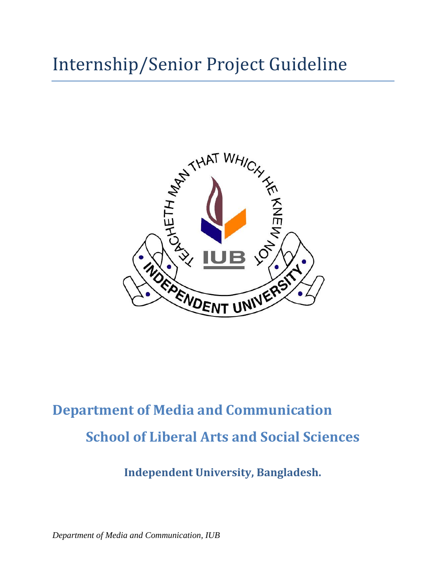# Internship/Senior Project Guideline



# **Department of Media and Communication School of Liberal Arts and Social Sciences**

**Independent University, Bangladesh.**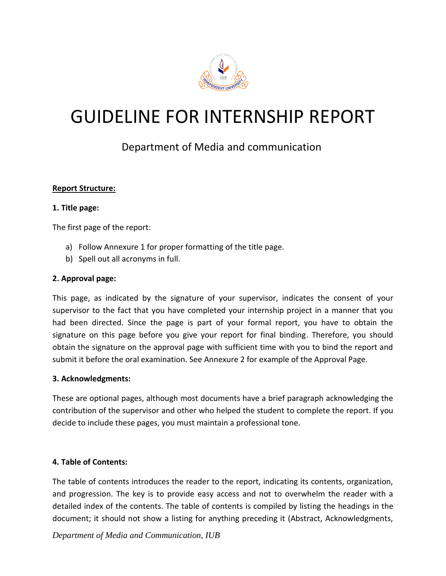

# GUIDELINE FOR INTERNSHIP REPORT

# Department of Media and communication

#### **Report Structure:**

#### **1. Title page:**

The first page of the report:

- a) Follow Annexure 1 for proper formatting of the title page.
- b) Spell out all acronyms in full.

#### **2. Approval page:**

This page, as indicated by the signature of your supervisor, indicates the consent of your supervisor to the fact that you have completed your internship project in a manner that you had been directed. Since the page is part of your formal report, you have to obtain the signature on this page before you give your report for final binding. Therefore, you should obtain the signature on the approval page with sufficient time with you to bind the report and submit it before the oral examination. See Annexure 2 for example of the Approval Page.

#### **3. Acknowledgments:**

These are optional pages, although most documents have a brief paragraph acknowledging the contribution of the supervisor and other who helped the student to complete the report. If you decide to include these pages, you must maintain a professional tone.

#### **4. Table of Contents:**

The table of contents introduces the reader to the report, indicating its contents, organization, and progression. The key is to provide easy access and not to overwhelm the reader with a detailed index of the contents. The table of contents is compiled by listing the headings in the document; it should not show a listing for anything preceding it (Abstract, Acknowledgments,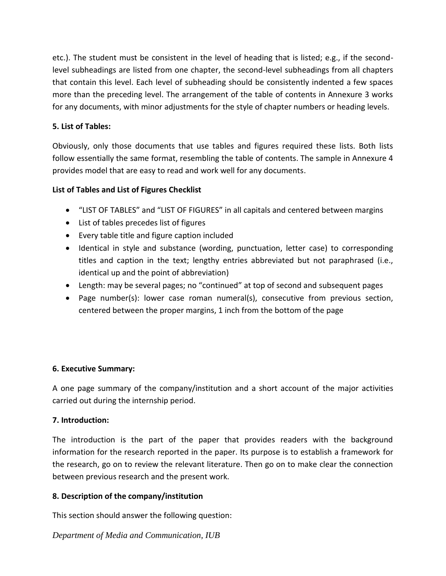etc.). The student must be consistent in the level of heading that is listed; e.g., if the secondlevel subheadings are listed from one chapter, the second-level subheadings from all chapters that contain this level. Each level of subheading should be consistently indented a few spaces more than the preceding level. The arrangement of the table of contents in Annexure 3 works for any documents, with minor adjustments for the style of chapter numbers or heading levels.

### **5. List of Tables:**

Obviously, only those documents that use tables and figures required these lists. Both lists follow essentially the same format, resembling the table of contents. The sample in Annexure 4 provides model that are easy to read and work well for any documents.

## **List of Tables and List of Figures Checklist**

- "LIST OF TABLES" and "LIST OF FIGURES" in all capitals and centered between margins
- List of tables precedes list of figures
- Every table title and figure caption included
- Identical in style and substance (wording, punctuation, letter case) to corresponding titles and caption in the text; lengthy entries abbreviated but not paraphrased (i.e., identical up and the point of abbreviation)
- Length: may be several pages; no "continued" at top of second and subsequent pages
- Page number(s): lower case roman numeral(s), consecutive from previous section, centered between the proper margins, 1 inch from the bottom of the page

#### **6. Executive Summary:**

A one page summary of the company/institution and a short account of the major activities carried out during the internship period.

#### **7. Introduction:**

The introduction is the part of the paper that provides readers with the background information for the research reported in the paper. Its purpose is to establish a framework for the research, go on to review the relevant literature. Then go on to make clear the connection between previous research and the present work.

#### **8. Description of the company/institution**

This section should answer the following question: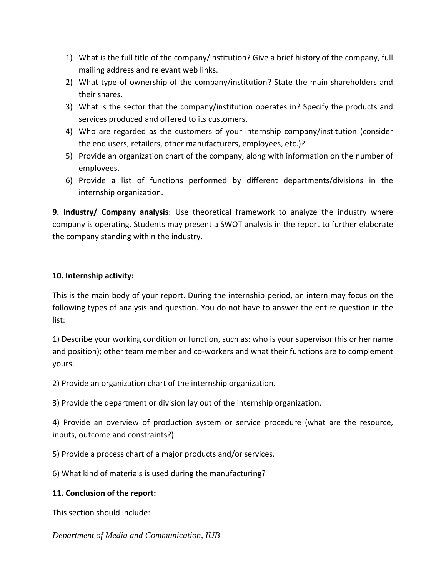- 1) What is the full title of the company/institution? Give a brief history of the company, full mailing address and relevant web links.
- 2) What type of ownership of the company/institution? State the main shareholders and their shares.
- 3) What is the sector that the company/institution operates in? Specify the products and services produced and offered to its customers.
- 4) Who are regarded as the customers of your internship company/institution (consider the end users, retailers, other manufacturers, employees, etc.)?
- 5) Provide an organization chart of the company, along with information on the number of employees.
- 6) Provide a list of functions performed by different departments/divisions in the internship organization.

**9. Industry/ Company analysis**: Use theoretical framework to analyze the industry where company is operating. Students may present a SWOT analysis in the report to further elaborate the company standing within the industry.

## **10. Internship activity:**

This is the main body of your report. During the internship period, an intern may focus on the following types of analysis and question. You do not have to answer the entire question in the list:

1) Describe your working condition or function, such as: who is your supervisor (his or her name and position); other team member and co-workers and what their functions are to complement yours.

2) Provide an organization chart of the internship organization.

3) Provide the department or division lay out of the internship organization.

4) Provide an overview of production system or service procedure (what are the resource, inputs, outcome and constraints?)

5) Provide a process chart of a major products and/or services.

6) What kind of materials is used during the manufacturing?

#### **11. Conclusion of the report:**

This section should include: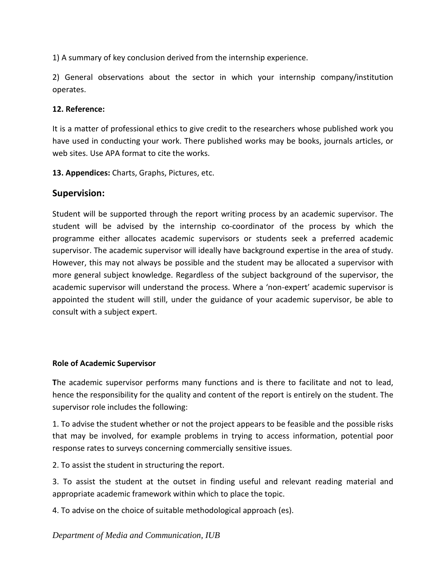1) A summary of key conclusion derived from the internship experience.

2) General observations about the sector in which your internship company/institution operates.

#### **12. Reference:**

It is a matter of professional ethics to give credit to the researchers whose published work you have used in conducting your work. There published works may be books, journals articles, or web sites. Use APA format to cite the works.

**13. Appendices:** Charts, Graphs, Pictures, etc.

## **Supervision:**

Student will be supported through the report writing process by an academic supervisor. The student will be advised by the internship co-coordinator of the process by which the programme either allocates academic supervisors or students seek a preferred academic supervisor. The academic supervisor will ideally have background expertise in the area of study. However, this may not always be possible and the student may be allocated a supervisor with more general subject knowledge. Regardless of the subject background of the supervisor, the academic supervisor will understand the process. Where a 'non-expert' academic supervisor is appointed the student will still, under the guidance of your academic supervisor, be able to consult with a subject expert.

#### **Role of Academic Supervisor**

**T**he academic supervisor performs many functions and is there to facilitate and not to lead, hence the responsibility for the quality and content of the report is entirely on the student. The supervisor role includes the following:

1. To advise the student whether or not the project appears to be feasible and the possible risks that may be involved, for example problems in trying to access information, potential poor response rates to surveys concerning commercially sensitive issues.

2. To assist the student in structuring the report.

3. To assist the student at the outset in finding useful and relevant reading material and appropriate academic framework within which to place the topic.

4. To advise on the choice of suitable methodological approach (es).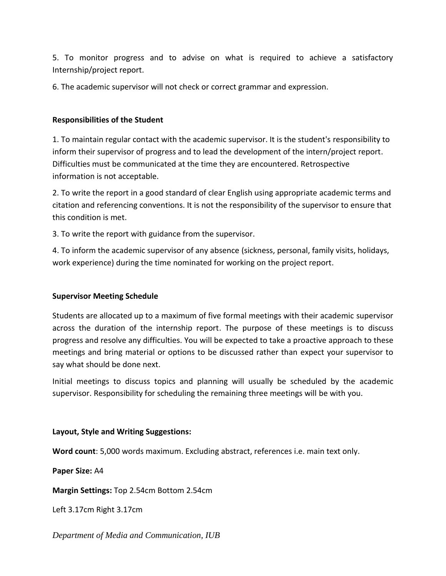5. To monitor progress and to advise on what is required to achieve a satisfactory Internship/project report.

6. The academic supervisor will not check or correct grammar and expression.

#### **Responsibilities of the Student**

1. To maintain regular contact with the academic supervisor. It is the student's responsibility to inform their supervisor of progress and to lead the development of the intern/project report. Difficulties must be communicated at the time they are encountered. Retrospective information is not acceptable.

2. To write the report in a good standard of clear English using appropriate academic terms and citation and referencing conventions. It is not the responsibility of the supervisor to ensure that this condition is met.

3. To write the report with guidance from the supervisor.

4. To inform the academic supervisor of any absence (sickness, personal, family visits, holidays, work experience) during the time nominated for working on the project report.

#### **Supervisor Meeting Schedule**

Students are allocated up to a maximum of five formal meetings with their academic supervisor across the duration of the internship report. The purpose of these meetings is to discuss progress and resolve any difficulties. You will be expected to take a proactive approach to these meetings and bring material or options to be discussed rather than expect your supervisor to say what should be done next.

Initial meetings to discuss topics and planning will usually be scheduled by the academic supervisor. Responsibility for scheduling the remaining three meetings will be with you.

#### **Layout, Style and Writing Suggestions:**

**Word count**: 5,000 words maximum. Excluding abstract, references i.e. main text only.

**Paper Size:** A4

**Margin Settings:** Top 2.54cm Bottom 2.54cm

Left 3.17cm Right 3.17cm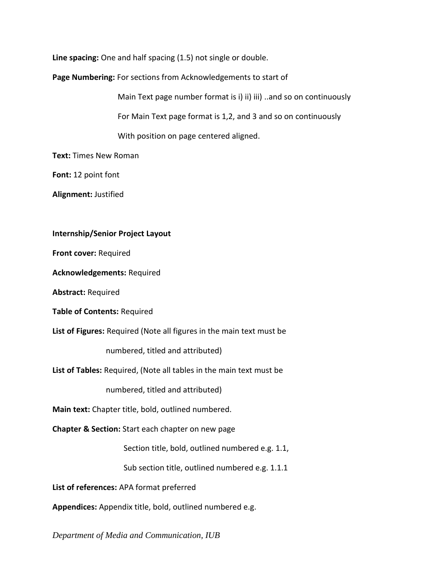**Line spacing:** One and half spacing (1.5) not single or double.

**Page Numbering:** For sections from Acknowledgements to start of

 Main Text page number format is i) ii) iii) ..and so on continuously For Main Text page format is 1,2, and 3 and so on continuously With position on page centered aligned.

**Text:** Times New Roman

**Font:** 12 point font

**Alignment:** Justified

#### **Internship/Senior Project Layout**

**Front cover:** Required

**Acknowledgements:** Required

**Abstract:** Required

**Table of Contents:** Required

**List of Figures:** Required (Note all figures in the main text must be

numbered, titled and attributed)

**List of Tables:** Required, (Note all tables in the main text must be

numbered, titled and attributed)

**Main text:** Chapter title, bold, outlined numbered.

**Chapter & Section:** Start each chapter on new page

Section title, bold, outlined numbered e.g. 1.1,

Sub section title, outlined numbered e.g. 1.1.1

**List of references:** APA format preferred

**Appendices:** Appendix title, bold, outlined numbered e.g.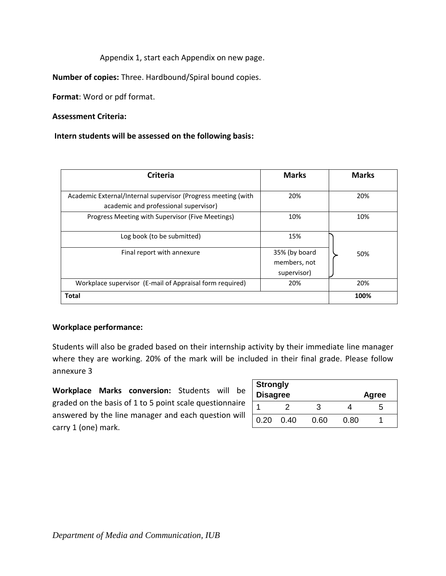Appendix 1, start each Appendix on new page.

**Number of copies:** Three. Hardbound/Spiral bound copies.

**Format**: Word or pdf format.

#### **Assessment Criteria:**

#### **Intern students will be assessed on the following basis:**

| <b>Criteria</b>                                                                                        | <b>Marks</b>                                 | <b>Marks</b> |
|--------------------------------------------------------------------------------------------------------|----------------------------------------------|--------------|
| Academic External/Internal supervisor (Progress meeting (with<br>academic and professional supervisor) | 20%                                          | 20%          |
| Progress Meeting with Supervisor (Five Meetings)                                                       | 10%                                          | 10%          |
| Log book (to be submitted)                                                                             | 15%                                          |              |
| Final report with annexure                                                                             | 35% (by board<br>members, not<br>supervisor) | 50%          |
| Workplace supervisor (E-mail of Appraisal form required)                                               | 20%                                          | 20%          |
| <b>Total</b>                                                                                           |                                              | 100%         |

#### **Workplace performance:**

Students will also be graded based on their internship activity by their immediate line manager where they are working. 20% of the mark will be included in their final grade. Please follow annexure 3

**Workplace Marks conversion:** Students will be graded on the basis of 1 to 5 point scale questionnaire answered by the line manager and each question will carry 1 (one) mark.

| <b>Strongly</b><br><b>Disagree</b> |      |      |      | <b>Agree</b> |
|------------------------------------|------|------|------|--------------|
|                                    |      |      |      | ٠h           |
| 0.20                               | 0.40 | 0.60 | 0.80 |              |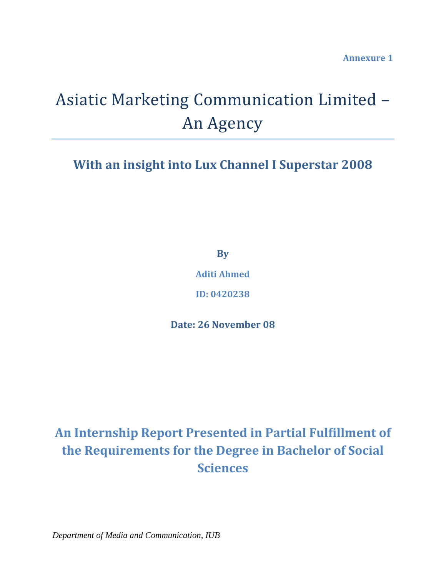**Annexure 1**

# Asiatic Marketing Communication Limited – An Agency

**With an insight into Lux Channel I Superstar 2008**

**By**

**Aditi Ahmed**

**ID: 0420238**

**Date: 26 November 08**

**An Internship Report Presented in Partial Fulfillment of the Requirements for the Degree in Bachelor of Social Sciences**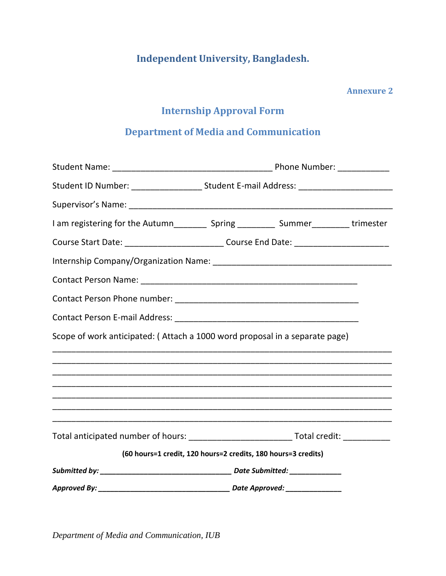**Independent University, Bangladesh.**

# **Annexure 2**

# **Internship Approval Form**

# **Department of Media and Communication**

|                                                                                              | Student ID Number: _____________________Student E-mail Address: ________________ |  |  |  |  |
|----------------------------------------------------------------------------------------------|----------------------------------------------------------------------------------|--|--|--|--|
|                                                                                              |                                                                                  |  |  |  |  |
| I am registering for the Autumn____________ Spring ____________ Summer__________ trimester   |                                                                                  |  |  |  |  |
| Course Start Date: _____________________________Course End Date: ________________            |                                                                                  |  |  |  |  |
|                                                                                              |                                                                                  |  |  |  |  |
|                                                                                              |                                                                                  |  |  |  |  |
|                                                                                              |                                                                                  |  |  |  |  |
|                                                                                              |                                                                                  |  |  |  |  |
| Scope of work anticipated: (Attach a 1000 word proposal in a separate page)                  |                                                                                  |  |  |  |  |
|                                                                                              |                                                                                  |  |  |  |  |
|                                                                                              |                                                                                  |  |  |  |  |
|                                                                                              |                                                                                  |  |  |  |  |
|                                                                                              |                                                                                  |  |  |  |  |
| Total anticipated number of hours: _______________________________Total credit: ____________ |                                                                                  |  |  |  |  |
| (60 hours=1 credit, 120 hours=2 credits, 180 hours=3 credits)                                |                                                                                  |  |  |  |  |
|                                                                                              |                                                                                  |  |  |  |  |
|                                                                                              |                                                                                  |  |  |  |  |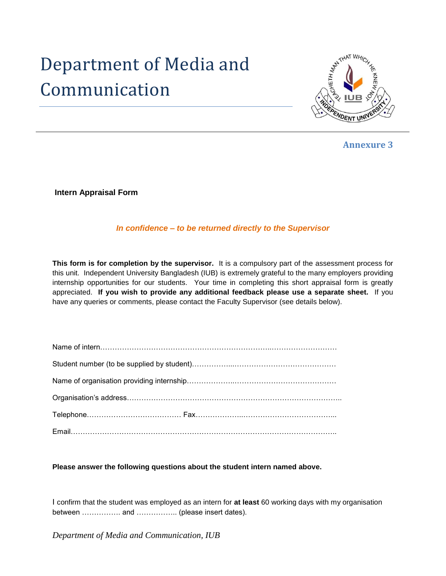# Department of Media and Communication



**Annexure 3** 

**Intern Appraisal Form**

#### *In confidence – to be returned directly to the Supervisor*

**This form is for completion by the supervisor.** It is a compulsory part of the assessment process for this unit. Independent University Bangladesh (IUB) is extremely grateful to the many employers providing internship opportunities for our students. Your time in completing this short appraisal form is greatly appreciated. **If you wish to provide any additional feedback please use a separate sheet.** If you have any queries or comments, please contact the Faculty Supervisor (see details below).

**Please answer the following questions about the student intern named above.**

I confirm that the student was employed as an intern for **at least** 60 working days with my organisation between ……………. and …………….. (please insert dates).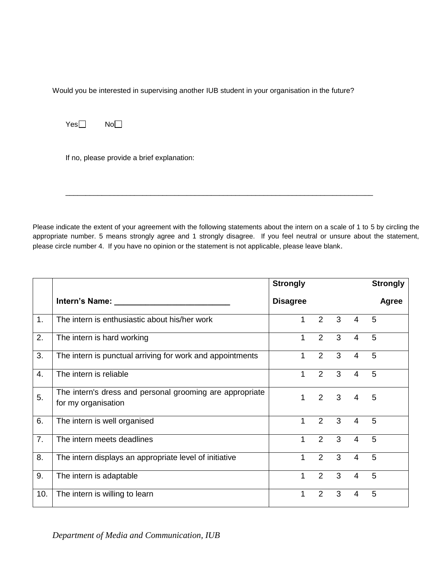Would you be interested in supervising another IUB student in your organisation in the future?

 $Yes \Box$  No $\Box$ 

If no, please provide a brief explanation:

Please indicate the extent of your agreement with the following statements about the intern on a scale of 1 to 5 by circling the appropriate number. 5 means strongly agree and 1 strongly disagree. If you feel neutral or unsure about the statement, please circle number 4. If you have no opinion or the statement is not applicable, please leave blank.

\_\_\_\_\_\_\_\_\_\_\_\_\_\_\_\_\_\_\_\_\_\_\_\_\_\_\_\_\_\_\_\_\_\_\_\_\_\_\_\_\_\_\_\_\_\_\_\_\_\_\_\_\_\_\_\_\_\_\_\_\_\_\_\_\_\_\_\_\_\_\_\_\_\_\_\_

|     |                                                                                 | <b>Strongly</b> |                |              |                | <b>Strongly</b> |
|-----|---------------------------------------------------------------------------------|-----------------|----------------|--------------|----------------|-----------------|
|     | Intern's Name:                                                                  | <b>Disagree</b> |                |              |                | <b>Agree</b>    |
| 1.  | The intern is enthusiastic about his/her work                                   | 1               | $2^{\circ}$    | 3            | $\overline{4}$ | 5               |
| 2.  | The intern is hard working                                                      | 1               | $\overline{2}$ | 3            | $\overline{4}$ | 5               |
| 3.  | The intern is punctual arriving for work and appointments                       | 1               | 2              | 3            | $\overline{4}$ | 5               |
| 4.  | The intern is reliable                                                          | 1               | 2              | 3            | $\overline{4}$ | 5               |
| 5.  | The intern's dress and personal grooming are appropriate<br>for my organisation | 1               | $\overline{2}$ | $\mathbf{3}$ | 4              | 5               |
| 6.  | The intern is well organised                                                    | 1               | $\overline{2}$ | 3            | $\overline{4}$ | 5               |
| 7.  | The intern meets deadlines                                                      | 1               | $\overline{2}$ | 3            | 4              | 5               |
| 8.  | The intern displays an appropriate level of initiative                          | 1               | $\overline{2}$ | 3            | $\overline{4}$ | 5               |
| 9.  | The intern is adaptable                                                         | 1               | $\overline{2}$ | 3            | $\overline{4}$ | 5               |
| 10. | The intern is willing to learn                                                  | 1               | $\mathcal{P}$  | 3            | 4              | 5               |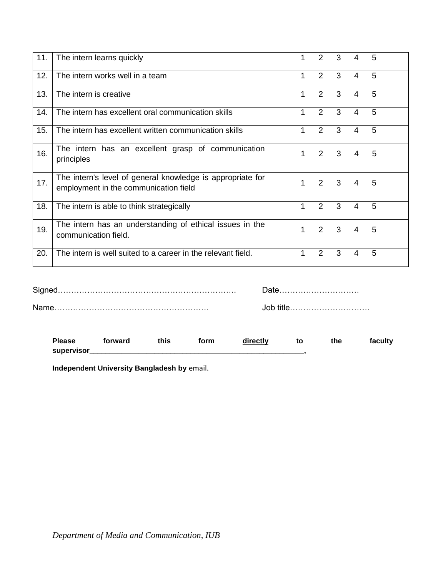| 11. | The intern learns quickly                                                                           | 1 | 2              | 3            | 4              | 5 |
|-----|-----------------------------------------------------------------------------------------------------|---|----------------|--------------|----------------|---|
| 12. | The intern works well in a team                                                                     | 1 | 2              | 3            | 4              | 5 |
| 13. | The intern is creative                                                                              | 1 | 2              | 3            | $\overline{4}$ | 5 |
| 14. | The intern has excellent oral communication skills                                                  | 1 | 2              | 3            | 4              | 5 |
| 15. | The intern has excellent written communication skills                                               | 1 | 2              | 3            | 4              | 5 |
| 16. | The intern has an excellent grasp of communication<br>principles                                    | 1 | $\overline{2}$ | $\mathbf{3}$ | 4              | 5 |
| 17. | The intern's level of general knowledge is appropriate for<br>employment in the communication field | 1 | 2              | 3            | 4              | 5 |
| 18. | The intern is able to think strategically                                                           | 1 | 2              | 3            | 4              | 5 |
| 19. | The intern has an understanding of ethical issues in the<br>communication field.                    | 1 | 2              | 3            | $\overline{4}$ | 5 |
| 20. | The intern is well suited to a career in the relevant field.                                        | 1 | 2              | 3            | 4              | 5 |

|               |         |      |      |          |    | Date      |         |
|---------------|---------|------|------|----------|----|-----------|---------|
|               |         |      |      |          |    | Job title |         |
| <b>Please</b> | forward | this | form | directly | to | the       | faculty |

**Independent University Bangladesh by** email.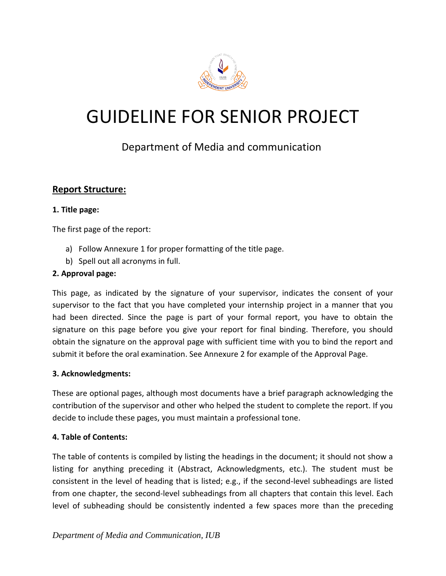

# GUIDELINE FOR SENIOR PROJECT

# Department of Media and communication

# **Report Structure:**

#### **1. Title page:**

The first page of the report:

- a) Follow Annexure 1 for proper formatting of the title page.
- b) Spell out all acronyms in full.

#### **2. Approval page:**

This page, as indicated by the signature of your supervisor, indicates the consent of your supervisor to the fact that you have completed your internship project in a manner that you had been directed. Since the page is part of your formal report, you have to obtain the signature on this page before you give your report for final binding. Therefore, you should obtain the signature on the approval page with sufficient time with you to bind the report and submit it before the oral examination. See Annexure 2 for example of the Approval Page.

#### **3. Acknowledgments:**

These are optional pages, although most documents have a brief paragraph acknowledging the contribution of the supervisor and other who helped the student to complete the report. If you decide to include these pages, you must maintain a professional tone.

#### **4. Table of Contents:**

The table of contents is compiled by listing the headings in the document; it should not show a listing for anything preceding it (Abstract, Acknowledgments, etc.). The student must be consistent in the level of heading that is listed; e.g., if the second-level subheadings are listed from one chapter, the second-level subheadings from all chapters that contain this level. Each level of subheading should be consistently indented a few spaces more than the preceding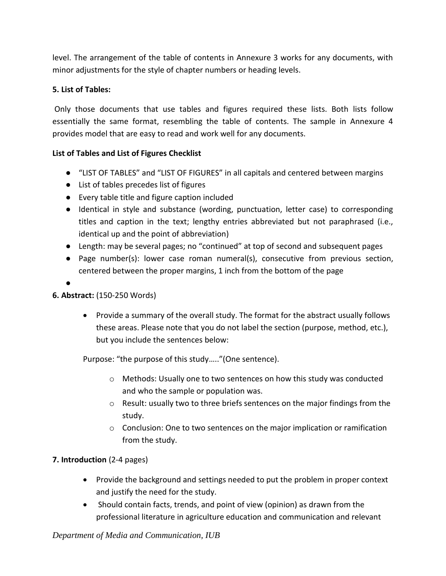level. The arrangement of the table of contents in Annexure 3 works for any documents, with minor adjustments for the style of chapter numbers or heading levels.

## **5. List of Tables:**

Only those documents that use tables and figures required these lists. Both lists follow essentially the same format, resembling the table of contents. The sample in Annexure 4 provides model that are easy to read and work well for any documents.

## **List of Tables and List of Figures Checklist**

- "LIST OF TABLES" and "LIST OF FIGURES" in all capitals and centered between margins
- List of tables precedes list of figures
- Every table title and figure caption included
- Identical in style and substance (wording, punctuation, letter case) to corresponding titles and caption in the text; lengthy entries abbreviated but not paraphrased (i.e., identical up and the point of abbreviation)
- Length: may be several pages; no "continued" at top of second and subsequent pages
- Page number(s): lower case roman numeral(s), consecutive from previous section, centered between the proper margins, 1 inch from the bottom of the page
- ●

# **6. Abstract:** (150-250 Words)

• Provide a summary of the overall study. The format for the abstract usually follows these areas. Please note that you do not label the section (purpose, method, etc.), but you include the sentences below:

Purpose: "the purpose of this study….."(One sentence).

- o Methods: Usually one to two sentences on how this study was conducted and who the sample or population was.
- o Result: usually two to three briefs sentences on the major findings from the study.
- $\circ$  Conclusion: One to two sentences on the major implication or ramification from the study.

# **7. Introduction** (2-4 pages)

- Provide the background and settings needed to put the problem in proper context and justify the need for the study.
- Should contain facts, trends, and point of view (opinion) as drawn from the professional literature in agriculture education and communication and relevant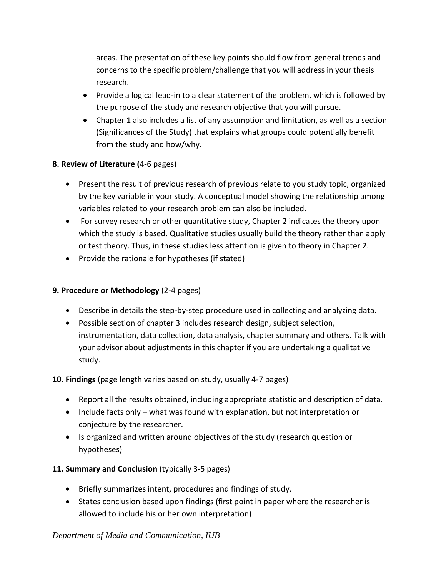areas. The presentation of these key points should flow from general trends and concerns to the specific problem/challenge that you will address in your thesis research.

- Provide a logical lead-in to a clear statement of the problem, which is followed by the purpose of the study and research objective that you will pursue.
- Chapter 1 also includes a list of any assumption and limitation, as well as a section (Significances of the Study) that explains what groups could potentially benefit from the study and how/why.

# **8. Review of Literature (**4-6 pages)

- Present the result of previous research of previous relate to you study topic, organized by the key variable in your study. A conceptual model showing the relationship among variables related to your research problem can also be included.
- For survey research or other quantitative study, Chapter 2 indicates the theory upon which the study is based. Qualitative studies usually build the theory rather than apply or test theory. Thus, in these studies less attention is given to theory in Chapter 2.
- Provide the rationale for hypotheses (if stated)

# **9. Procedure or Methodology** (2-4 pages)

- Describe in details the step-by-step procedure used in collecting and analyzing data.
- Possible section of chapter 3 includes research design, subject selection, instrumentation, data collection, data analysis, chapter summary and others. Talk with your advisor about adjustments in this chapter if you are undertaking a qualitative study.

# **10. Findings** (page length varies based on study, usually 4-7 pages)

- Report all the results obtained, including appropriate statistic and description of data.
- Include facts only what was found with explanation, but not interpretation or conjecture by the researcher.
- Is organized and written around objectives of the study (research question or hypotheses)

# **11. Summary and Conclusion** (typically 3-5 pages)

- Briefly summarizes intent, procedures and findings of study.
- States conclusion based upon findings (first point in paper where the researcher is allowed to include his or her own interpretation)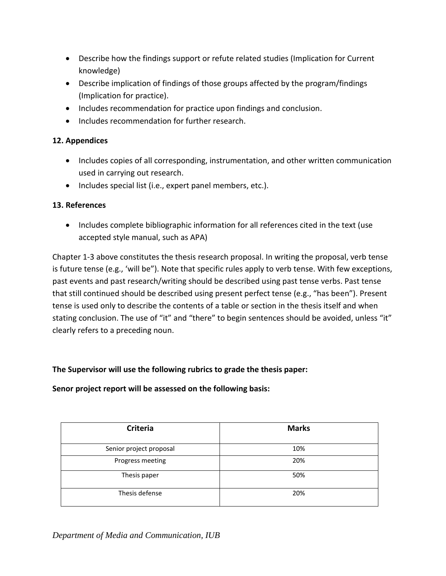- Describe how the findings support or refute related studies (Implication for Current knowledge)
- Describe implication of findings of those groups affected by the program/findings (Implication for practice).
- Includes recommendation for practice upon findings and conclusion.
- Includes recommendation for further research.

#### **12. Appendices**

- Includes copies of all corresponding, instrumentation, and other written communication used in carrying out research.
- Includes special list (i.e., expert panel members, etc.).

#### **13. References**

• Includes complete bibliographic information for all references cited in the text (use accepted style manual, such as APA)

Chapter 1-3 above constitutes the thesis research proposal. In writing the proposal, verb tense is future tense (e.g., 'will be"). Note that specific rules apply to verb tense. With few exceptions, past events and past research/writing should be described using past tense verbs. Past tense that still continued should be described using present perfect tense (e.g., "has been"). Present tense is used only to describe the contents of a table or section in the thesis itself and when stating conclusion. The use of "it" and "there" to begin sentences should be avoided, unless "it" clearly refers to a preceding noun.

#### **The Supervisor will use the following rubrics to grade the thesis paper:**

**Senor project report will be assessed on the following basis:**

| <b>Criteria</b>         | <b>Marks</b> |
|-------------------------|--------------|
| Senior project proposal | 10%          |
| Progress meeting        | 20%          |
| Thesis paper            | 50%          |
| Thesis defense          | 20%          |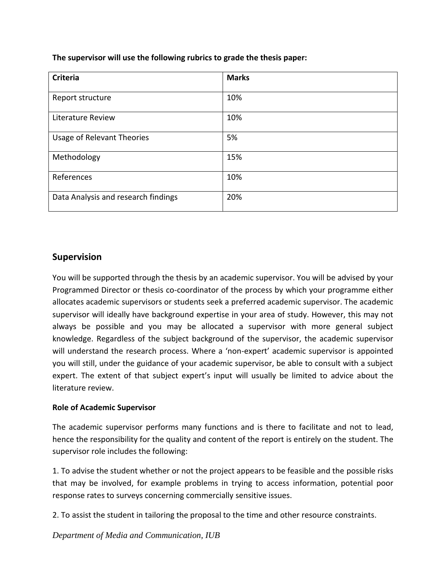| <b>Criteria</b>                     | <b>Marks</b> |
|-------------------------------------|--------------|
| Report structure                    | 10%          |
| Literature Review                   | 10%          |
| Usage of Relevant Theories          | 5%           |
| Methodology                         | 15%          |
| References                          | 10%          |
| Data Analysis and research findings | 20%          |

**The supervisor will use the following rubrics to grade the thesis paper:** 

# **Supervision**

You will be supported through the thesis by an academic supervisor. You will be advised by your Programmed Director or thesis co-coordinator of the process by which your programme either allocates academic supervisors or students seek a preferred academic supervisor. The academic supervisor will ideally have background expertise in your area of study. However, this may not always be possible and you may be allocated a supervisor with more general subject knowledge. Regardless of the subject background of the supervisor, the academic supervisor will understand the research process. Where a 'non-expert' academic supervisor is appointed you will still, under the guidance of your academic supervisor, be able to consult with a subject expert. The extent of that subject expert's input will usually be limited to advice about the literature review.

#### **Role of Academic Supervisor**

The academic supervisor performs many functions and is there to facilitate and not to lead, hence the responsibility for the quality and content of the report is entirely on the student. The supervisor role includes the following:

1. To advise the student whether or not the project appears to be feasible and the possible risks that may be involved, for example problems in trying to access information, potential poor response rates to surveys concerning commercially sensitive issues.

2. To assist the student in tailoring the proposal to the time and other resource constraints.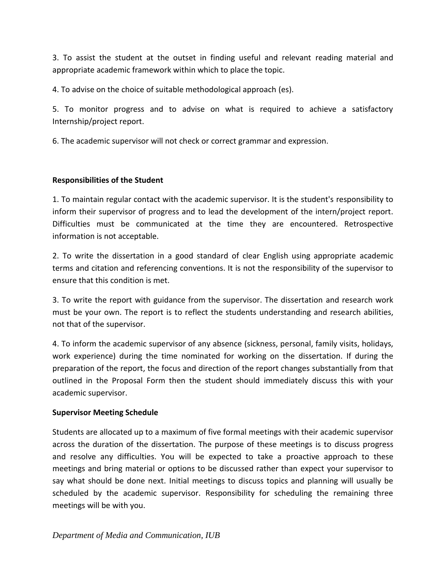3. To assist the student at the outset in finding useful and relevant reading material and appropriate academic framework within which to place the topic.

4. To advise on the choice of suitable methodological approach (es).

5. To monitor progress and to advise on what is required to achieve a satisfactory Internship/project report.

6. The academic supervisor will not check or correct grammar and expression.

#### **Responsibilities of the Student**

1. To maintain regular contact with the academic supervisor. It is the student's responsibility to inform their supervisor of progress and to lead the development of the intern/project report. Difficulties must be communicated at the time they are encountered. Retrospective information is not acceptable.

2. To write the dissertation in a good standard of clear English using appropriate academic terms and citation and referencing conventions. It is not the responsibility of the supervisor to ensure that this condition is met.

3. To write the report with guidance from the supervisor. The dissertation and research work must be your own. The report is to reflect the students understanding and research abilities, not that of the supervisor.

4. To inform the academic supervisor of any absence (sickness, personal, family visits, holidays, work experience) during the time nominated for working on the dissertation. If during the preparation of the report, the focus and direction of the report changes substantially from that outlined in the Proposal Form then the student should immediately discuss this with your academic supervisor.

#### **Supervisor Meeting Schedule**

Students are allocated up to a maximum of five formal meetings with their academic supervisor across the duration of the dissertation. The purpose of these meetings is to discuss progress and resolve any difficulties. You will be expected to take a proactive approach to these meetings and bring material or options to be discussed rather than expect your supervisor to say what should be done next. Initial meetings to discuss topics and planning will usually be scheduled by the academic supervisor. Responsibility for scheduling the remaining three meetings will be with you.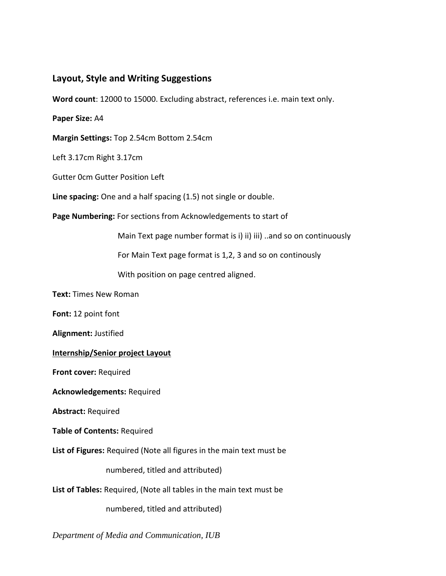### **Layout, Style and Writing Suggestions**

**Word count**: 12000 to 15000. Excluding abstract, references i.e. main text only.

**Paper Size:** A4

**Margin Settings:** Top 2.54cm Bottom 2.54cm

Left 3.17cm Right 3.17cm

Gutter 0cm Gutter Position Left

**Line spacing:** One and a half spacing (1.5) not single or double.

**Page Numbering:** For sections from Acknowledgements to start of

Main Text page number format is i) ii) iii) ..and so on continuously

For Main Text page format is 1,2, 3 and so on continously

With position on page centred aligned.

**Text:** Times New Roman

**Font:** 12 point font

**Alignment:** Justified

**Internship/Senior project Layout**

**Front cover:** Required

**Acknowledgements:** Required

**Abstract:** Required

**Table of Contents:** Required

**List of Figures:** Required (Note all figures in the main text must be

numbered, titled and attributed)

**List of Tables:** Required, (Note all tables in the main text must be

numbered, titled and attributed)